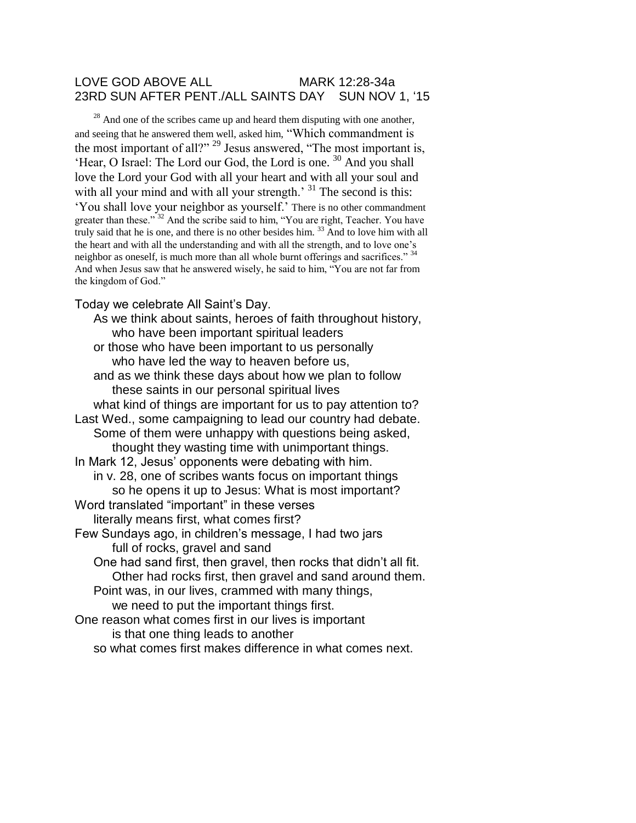## LOVE GOD ABOVE ALL MARK 12:28-34a 23RD SUN AFTER PENT./ALL SAINTS DAY SUN NOV 1, '15

 $^{28}$  And one of the scribes came up and heard them disputing with one another, and seeing that he answered them well, asked him, "Which commandment is the most important of all?" <sup>29</sup> Jesus answered, "The most important is, 'Hear, O Israel: The Lord our God, the Lord is one. <sup>30</sup> And you shall love the Lord your God with all your heart and with all your soul and with all your mind and with all your strength.<sup>31</sup> The second is this: 'You shall love your neighbor as yourself.' There is no other commandment greater than these."<sup>32</sup> And the scribe said to him, "You are right, Teacher. You have truly said that he is one, and there is no other besides him.<sup>33</sup> And to love him with all the heart and with all the understanding and with all the strength, and to love one's neighbor as oneself, is much more than all whole burnt offerings and sacrifices." <sup>34</sup> And when Jesus saw that he answered wisely, he said to him, "You are not far from the kingdom of God."

Today we celebrate All Saint's Day.

As we think about saints, heroes of faith throughout history, who have been important spiritual leaders or those who have been important to us personally who have led the way to heaven before us, and as we think these days about how we plan to follow these saints in our personal spiritual lives what kind of things are important for us to pay attention to? Last Wed., some campaigning to lead our country had debate. Some of them were unhappy with questions being asked, thought they wasting time with unimportant things. In Mark 12, Jesus' opponents were debating with him. in v. 28, one of scribes wants focus on important things so he opens it up to Jesus: What is most important? Word translated "important" in these verses literally means first, what comes first? Few Sundays ago, in children's message, I had two jars full of rocks, gravel and sand One had sand first, then gravel, then rocks that didn't all fit. Other had rocks first, then gravel and sand around them. Point was, in our lives, crammed with many things, we need to put the important things first. One reason what comes first in our lives is important is that one thing leads to another so what comes first makes difference in what comes next.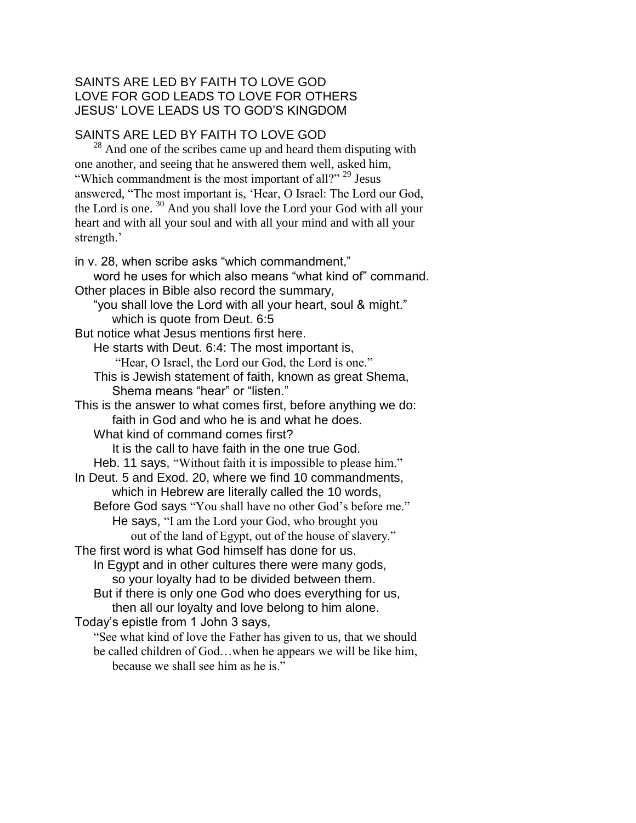## SAINTS ARE LED BY FAITH TO LOVE GOD LOVE FOR GOD LEADS TO LOVE FOR OTHERS JESUS' LOVE LEADS US TO GOD'S KINGDOM

## SAINTS ARE LED BY FAITH TO LOVE GOD

 $28$  And one of the scribes came up and heard them disputing with one another, and seeing that he answered them well, asked him, "Which commandment is the most important of all?" <sup>29</sup> Jesus answered, "The most important is, 'Hear, O Israel: The Lord our God, the Lord is one. <sup>30</sup> And you shall love the Lord your God with all your heart and with all your soul and with all your mind and with all your strength.'

in v. 28, when scribe asks "which commandment," word he uses for which also means "what kind of" command. Other places in Bible also record the summary, "you shall love the Lord with all your heart, soul & might." which is quote from Deut. 6:5 But notice what Jesus mentions first here. He starts with Deut. 6:4: The most important is, "Hear, O Israel, the Lord our God, the Lord is one." This is Jewish statement of faith, known as great Shema, Shema means "hear" or "listen." This is the answer to what comes first, before anything we do: faith in God and who he is and what he does. What kind of command comes first? It is the call to have faith in the one true God. Heb. 11 says, "Without faith it is impossible to please him." In Deut. 5 and Exod. 20, where we find 10 commandments, which in Hebrew are literally called the 10 words, Before God says "You shall have no other God's before me." He says, "I am the Lord your God, who brought you out of the land of Egypt, out of the house of slavery." The first word is what God himself has done for us. In Egypt and in other cultures there were many gods, so your loyalty had to be divided between them. But if there is only one God who does everything for us, then all our loyalty and love belong to him alone. Today's epistle from 1 John 3 says, "See what kind of love the Father has given to us, that we should be called children of God…when he appears we will be like him, because we shall see him as he is."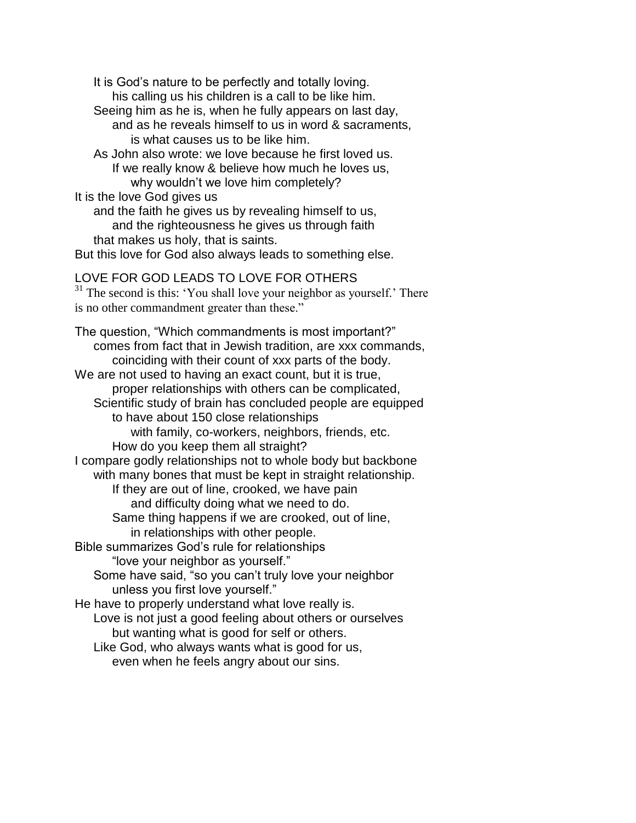It is God's nature to be perfectly and totally loving. his calling us his children is a call to be like him. Seeing him as he is, when he fully appears on last day, and as he reveals himself to us in word & sacraments, is what causes us to be like him. As John also wrote: we love because he first loved us. If we really know & believe how much he loves us, why wouldn't we love him completely? It is the love God gives us and the faith he gives us by revealing himself to us, and the righteousness he gives us through faith that makes us holy, that is saints. But this love for God also always leads to something else. LOVE FOR GOD LEADS TO LOVE FOR OTHERS <sup>31</sup> The second is this: 'You shall love your neighbor as yourself.' There is no other commandment greater than these." The question, "Which commandments is most important?" comes from fact that in Jewish tradition, are xxx commands, coinciding with their count of xxx parts of the body. We are not used to having an exact count, but it is true, proper relationships with others can be complicated, Scientific study of brain has concluded people are equipped to have about 150 close relationships with family, co-workers, neighbors, friends, etc. How do you keep them all straight? I compare godly relationships not to whole body but backbone with many bones that must be kept in straight relationship. If they are out of line, crooked, we have pain and difficulty doing what we need to do. Same thing happens if we are crooked, out of line, in relationships with other people. Bible summarizes God's rule for relationships "love your neighbor as yourself." Some have said, "so you can't truly love your neighbor unless you first love yourself." He have to properly understand what love really is. Love is not just a good feeling about others or ourselves but wanting what is good for self or others. Like God, who always wants what is good for us, even when he feels angry about our sins.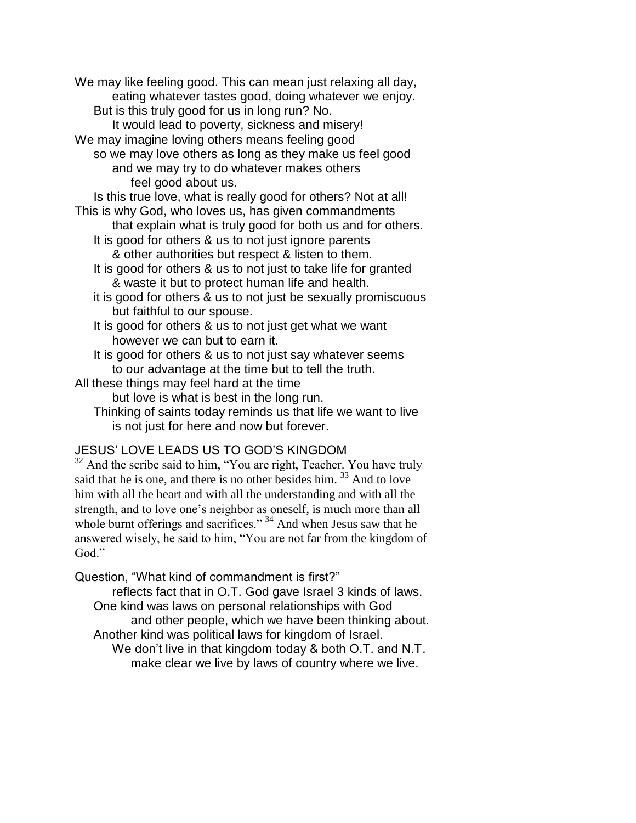We may like feeling good. This can mean just relaxing all day, eating whatever tastes good, doing whatever we enjoy. But is this truly good for us in long run? No. It would lead to poverty, sickness and misery! We may imagine loving others means feeling good so we may love others as long as they make us feel good and we may try to do whatever makes others feel good about us. Is this true love, what is really good for others? Not at all! This is why God, who loves us, has given commandments that explain what is truly good for both us and for others. It is good for others & us to not just ignore parents & other authorities but respect & listen to them. It is good for others & us to not just to take life for granted & waste it but to protect human life and health. it is good for others & us to not just be sexually promiscuous but faithful to our spouse. It is good for others & us to not just get what we want however we can but to earn it. It is good for others & us to not just say whatever seems to our advantage at the time but to tell the truth. All these things may feel hard at the time but love is what is best in the long run. Thinking of saints today reminds us that life we want to live

is not just for here and now but forever.

## JESUS' LOVE LEADS US TO GOD'S KINGDOM

 $32$  And the scribe said to him, "You are right, Teacher. You have truly said that he is one, and there is no other besides him.<sup>33</sup> And to love him with all the heart and with all the understanding and with all the strength, and to love one's neighbor as oneself, is much more than all whole burnt offerings and sacrifices."<sup>34</sup> And when Jesus saw that he answered wisely, he said to him, "You are not far from the kingdom of God."

Question, "What kind of commandment is first?"

reflects fact that in O.T. God gave Israel 3 kinds of laws. One kind was laws on personal relationships with God and other people, which we have been thinking about. Another kind was political laws for kingdom of Israel. We don't live in that kingdom today & both O.T. and N.T. make clear we live by laws of country where we live.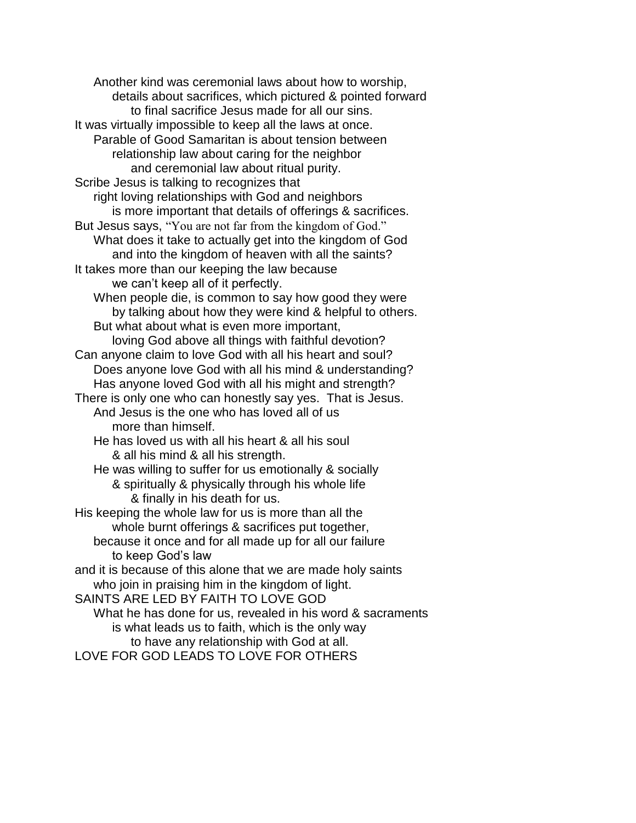Another kind was ceremonial laws about how to worship, details about sacrifices, which pictured & pointed forward to final sacrifice Jesus made for all our sins. It was virtually impossible to keep all the laws at once. Parable of Good Samaritan is about tension between relationship law about caring for the neighbor and ceremonial law about ritual purity. Scribe Jesus is talking to recognizes that right loving relationships with God and neighbors is more important that details of offerings & sacrifices. But Jesus says, "You are not far from the kingdom of God." What does it take to actually get into the kingdom of God and into the kingdom of heaven with all the saints? It takes more than our keeping the law because we can't keep all of it perfectly. When people die, is common to say how good they were by talking about how they were kind & helpful to others. But what about what is even more important, loving God above all things with faithful devotion? Can anyone claim to love God with all his heart and soul? Does anyone love God with all his mind & understanding? Has anyone loved God with all his might and strength? There is only one who can honestly say yes. That is Jesus. And Jesus is the one who has loved all of us more than himself. He has loved us with all his heart & all his soul & all his mind & all his strength. He was willing to suffer for us emotionally & socially & spiritually & physically through his whole life & finally in his death for us. His keeping the whole law for us is more than all the whole burnt offerings & sacrifices put together, because it once and for all made up for all our failure to keep God's law and it is because of this alone that we are made holy saints who join in praising him in the kingdom of light. SAINTS ARE LED BY FAITH TO LOVE GOD What he has done for us, revealed in his word & sacraments is what leads us to faith, which is the only way to have any relationship with God at all.

LOVE FOR GOD LEADS TO LOVE FOR OTHERS